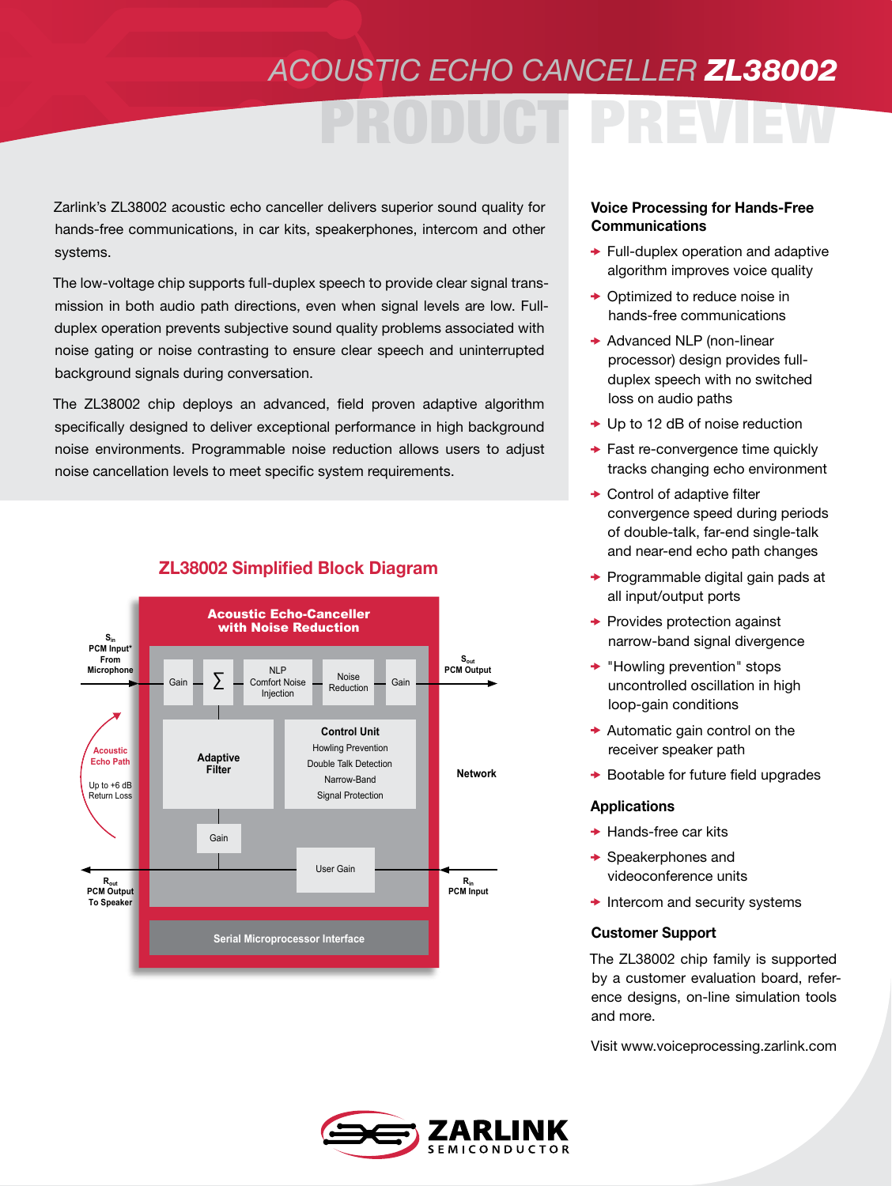## *ACOUSTIC ECHO CANCELLER ZL38002*

# PRODUCT PREVIEW

Zarlink's ZL38002 acoustic echo canceller delivers superior sound quality for hands-free communications, in car kits, speakerphones, intercom and other systems.

The low-voltage chip supports full-duplex speech to provide clear signal transmission in both audio path directions, even when signal levels are low. Fullduplex operation prevents subjective sound quality problems associated with noise gating or noise contrasting to ensure clear speech and uninterrupted background signals during conversation.

The ZL38002 chip deploys an advanced, field proven adaptive algorithm specifically designed to deliver exceptional performance in high background noise environments. Programmable noise reduction allows users to adjust noise cancellation levels to meet specific system requirements.



### ZL38002 Simplified Block Diagram

#### Voice Processing for Hands-Free **Communications**

- $\rightarrow$  Full-duplex operation and adaptive algorithm improves voice quality
- ◆ Optimized to reduce noise in hands-free communications
- $\rightarrow$  Advanced NLP (non-linear processor) design provides fullduplex speech with no switched loss on audio paths
- $\rightarrow$  Up to 12 dB of noise reduction
- $\rightarrow$  Fast re-convergence time quickly tracks changing echo environment
- **← Control of adaptive filter** convergence speed during periods of double-talk, far-end single-talk and near-end echo path changes
- $\rightarrow$  Programmable digital gain pads at all input/output ports
- $\rightarrow$  Provides protection against narrow-band signal divergence
- $\rightarrow$  "Howling prevention" stops uncontrolled oscillation in high loop-gain conditions
- $\rightarrow$  Automatic gain control on the receiver speaker path
- $\rightarrow$  Bootable for future field upgrades

#### **Applications**

- $\rightarrow$  Hands-free car kits
- $\rightarrow$  Speakerphones and videoconference units
- $\rightarrow$  Intercom and security systems

#### Customer Support

The ZL38002 chip family is supported by a customer evaluation board, reference designs, on-line simulation tools and more.

Visit www.voiceprocessing.zarlink.com